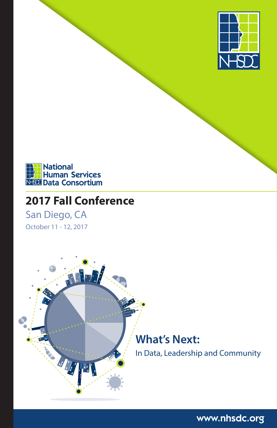



# **2017 Fall Conference**

San Diego, CA

October 11 - 12, 2017



www.nhsdc.org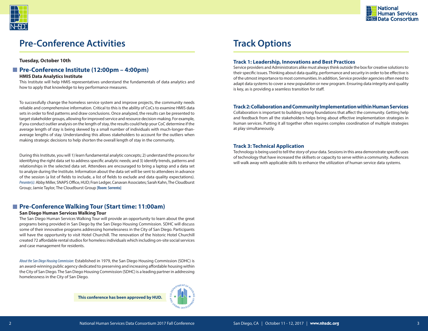

# **Pre-Conference Activities**

**Tuesday, October 10th**

# **Pre-Conference Institute (12:00pm – 4:00pm)**

**HMIS Data Analytics Institute**

This Institute will help HMIS representatives understand the fundamentals of data analytics and how to apply that knowledge to key performance measures.

To successfully change the homeless service system and improve projects, the community needs reliable and comprehensive information. Critical to this is the ability of CoCs to examine HMIS data sets in order to find patterns and draw conclusions. Once analyzed, the results can be presented to target stakeholder groups, allowing for improved service and resource decision-making. For example, if you conduct outlier analysis on the length of stay, the results could help your CoC determine if the average length of stay is being skewed by a small number of individuals with much-longer-thanaverage lengths of stay. Understanding this allows stakeholders to account for the outliers when making strategic decisions to help shorten the overall length of stay in the community.

During this Institute, you will 1) learn fundamental analytic concepts; 2) understand the process for identifying the right data set to address specific analytic needs; and 3) identify trends, patterns and relationships in the selected data set. Attendees are encouraged to bring a laptop and a data set to analyze during the Institute. Information about the data set will be sent to attendees in advance of the session (a list of fields to include, a list of fields to exclude and data quality expectations). *Presenter(s):* Abby Miller, SNAPS Office, HUD; Fran Ledger, Canavan Associates; Sarah Kahn, The Cloudburst Group; Jamie Taylor, The Cloudburst Group **[Room: Sorrento]**

## **Pre-Conference Walking Tour (Start time: 11:00am)**

#### **San Diego Human Services Walking Tour**

The San Diego Human Services Walking Tour will provide an opportunity to learn about the great programs being provided in San Diego by the San Diego Housing Commission. SDHC will discuss some of their innovative programs addressing homelessness in the City of San Diego. Participants will have the opportunity to visit Hotel Churchill. The renovation of the historic Hotel Churchill created 72 affordable rental studios for homeless individuals which including on-site social services and case management for residents.

*About the San Diego Housing Commission:* Established in 1979, the San Diego Housing Commission (SDHC) is an award-winning public agency dedicated to preserving and increasing affordable housing within the City of San Diego. The San Diego Housing Commission (SDHC) is a leading partner in addressing homelessness in the City of San Diego.

**This conference has been approved by HUD.**



# **Track Options**

#### **Track 1: Leadership, Innovations and Best Practices**

Service providers and Administrators alike must always think outside the box for creative solutions to their specific issues. Thinking about data quality, performance and security in order to be effective is of the utmost importance to most communities. In addition, Service provider agencies often need to adapt data systems to cover a new population or new program. Ensuring data integrity and quality is key, as is providing a seamless transition for staff.

#### **Track 2: Collaboration and Community Implementation within Human Services**

Collaboration is important to building strong foundations that affect the community. Getting help and feedback from all the stakeholders helps bring about effective implementation strategies in human services. Putting it all together often requires complex coordination of multiple strategies at play simultaneously.

### **Track 3: Technical Application**

Technology is being used to tell the story of your data. Sessions in this area demonstrate specific uses of technology that have increased the skillsets or capacity to serve within a community. Audiences will walk away with applicable skills to enhance the utilization of human service data systems.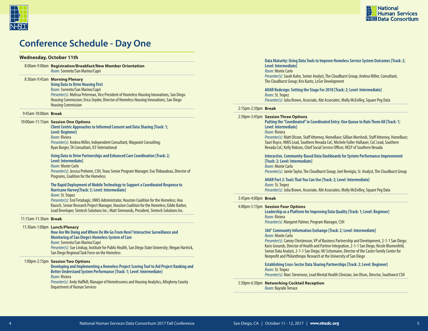



# **Conference Schedule - Day One**

#### **Wednesday, October 11th**

8:00am-9:00am **Registration/Breakfast/New Member Orientation** *Room:*Sorrento/San Marino/Capri

#### 8:30am-9:45am **Morning Plenary**

**Using Data to Drive Housing First** 

*Room:* Sorrento/San Marino/Capri *Presenter(s):* Melissa Peterman, Vice President of Homeless Housing Innovations, San Diego Housing Commission; Erica Snyder, Director of Homeless Housing Innovations, San Diego Housing Commission

#### 9:45am-10:00am **Break**

#### 10:00am-11:15am **Session One Options**

**Client Centric Approaches to Informed Consent and Data Sharing [Track: 1; Level: Beginner]** *Room:* Riviera *Presenter(s):* Andrea Miller, Independent Consultant, Waypoint Consulting; Ryan Burger, TA Consultant, ICF International

#### **Using Data to Drive Partnerships and Enhanced Care Coordination [Track: 2; Level: Intermediate]**

*Room:* Monte Carlo *Presenter(s):* Jessica Preheim, CSH, Texas Senior Program Manager; Eva Thibaudeau, Director of Programs, Coalition for the Homeless

#### **The Rapid Deployment of Mobile Technology to Support a Coordinated Response to Hurricane Harvey[Track: 3; Level: Intermediate]**

*Room:* St. Tropez

*Presenter(s):* Erol Fetahagic, HMIS Administrator, Houston Coalition for the Homeless; Ana Rausch, Senior Research Project Manager, Houston Coalition for the Homeless; Eddie Barber, Lead Developer, Simtech Solutions Inc.; Matt Simmonds, President, Simtech Solutions Inc.

#### 11:15am-11:30am **Break**

#### 11:30am-1:00pm **Lunch/Plenary**

**How Are We Doing and Where Do We Go From Here? Interactive Surveillance and Monitoring of San Diego's Homeless System of Care**

*Room:* Sorrento/San Marino/Capri

*Presenter(s):* Sue Lindsay, Institute for Public Health, San Diego State University; Megan Hartrick, San Diego Regional Task Force on the Homeless

#### 1:00pm-2:15pm **Session Two Options**

**Developing and Implementing a Homeless Project Scoring Tool to Aid Project Ranking and Better Understand System Performance [Track: 1; Level: Intermediate]** *Room:* Riviera

*Presenter(s):* Andy Halfhill, Manager of Homelessness and Housing Analytics, Allegheny County Department of Human Services

#### **Data Maturity: Using Data Tools to Improve Homeless Service System Outcomes [Track: 2; Level: Intermediate]**

*Room:* Monte Carlo

*Presenter(s):* Sarah Kahn, Senior Analyst, The Cloudburst Group; Andrea Miller, Consultant, The Cloudburst Group; Kris Kuntz, LeSer Development

#### **AHAR Redesign: Setting the Stage For 2018 [Track: 2; Level: Intermediate]** *Room:* St. Tropez

*Presenter(s):* Julia Brown, Associate, Abt Associates; Molly McEvilley, Square Peg Data

#### 2:15pm-2:30pm **Break**

#### 2:30pm-3:45pm **Session Three Options**

#### **Putting the "Coordinated" in Coordinated Entry: One Queue to Rule Them All [Track: 1; Level: Intermediate]**

*Room:* Riviera

*Presenter(s):* Matt Olsson, Staff Attorney, HomeBase; Gillian Morshedi, Staff Attorney, HomeBase; Tauri Royce, HMIS Lead, Southern Nevada CoC; Michele Fuller-Hallauer, CoC Lead, Southern Nevada CoC; Kelly Robson, Chief Social Service Officer, HELP of Southern Nevada

#### **Interactive, Community-Based Data Dashboards for System Performance Improvement [Track: 2; Level: Intermediate]**

*Room:* Monte Carlo

*Presenter(s):* Jamie Taylor, The Cloudburst Group; Joel Remigio, Sr. Analyst, The Cloudburst Group

### **AHAR Part 2: Tools That You Can Use [Track: 2; Level: Intermediate]** *Room:* St. Tropez

*Presenter(s):* Julia Brown, Associate, Abt Associates; Molly McEvilley, Square Peg Data

#### 3:45pm-4:00pm **Break**

4:00pm-5:15pm **Session Four Options**

| 1-5:15pm Session Four Options<br>Leadership as a Platform for Improving Data Quality [Track: 1; Level: Beginner]<br>Room: Riviera<br>Presenter(s): Margaret Palmer, Program Manager, CSH                                                                                                                                                                                                                                                                                 |
|--------------------------------------------------------------------------------------------------------------------------------------------------------------------------------------------------------------------------------------------------------------------------------------------------------------------------------------------------------------------------------------------------------------------------------------------------------------------------|
| 360° Community Information Exchange [Track: 2; Level: Intermediate]<br><i>Room:</i> Monte Carlo<br>Presenter(s): Camey Christenson, VP of Business Partnership and Development, 2-1-1 San Diego;<br>Karis Grounds, Director of Health and Partner Integration, 2-1-1 San Diego; Nicole Blumenfeld,<br>Senior Data Analyst, 2-1-1 San Diego; MJ Schumann, Director of the Caster Family Center for<br>Nonprofit and Philanthropic Research at the University of San Diego |
| <b>Establishing Cross-Sector Data Sharing Partnerships [Track: 2; Level: Beginner]</b><br>Room: St. Tropez<br>Presenter(s): Marc Stevenson, Lead Mental Health Clinician; Jon Olson, Director, Southwest CSH                                                                                                                                                                                                                                                             |

5:30pm-6:30pm **Networking Cocktail Reception** *Room:* Bayside Terrace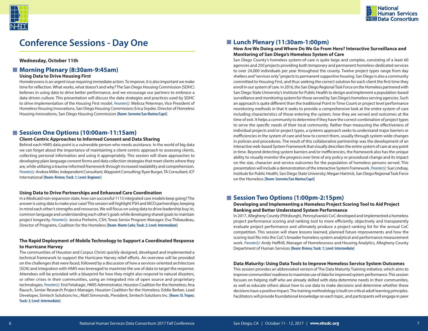



# **Conference Sessions - Day One**

**Wednesday, October 11th**

### ■ Morning Plenary (8:30am-9:45am)

#### **Using Data to Drive Housing First**

Homelessness is an urgent issue requiring immediate action. To improve, it is also important we make time for reflection. What works, what doesn't and why? The San Diego Housing Commission (SDHC) believes in using data to drive better performance, and we encourage our partners to embrace a data-driven culture. This presentation will discuss the data strategies and practices used by SDHC to drive implementation of the Housing First model. *Presenter(s):* Melissa Peterman, Vice President of Homeless Housing Innovations, San Diego Housing Commission; Erica Snyder, Director of Homeless Housing Innovations, San Diego Housing Commission **[Room: Sorrento/San Marino/Capri]**

### **Session One Options (10:00am-11:15am)**

#### **Client-Centric Approaches to Informed Consent and Data Sharing**

Behind each HMIS data point is a vulnerable person who needs assistance. In the world of big data we can forget about the importance of maintaining a client-centric approach to assessing clients, collecting personal information and using it appropriately. This session will share approaches to developing plain language consent forms and data collection strategies that meet clients where they are, while utilizing a trauma-informed framework through increased readability and comprehension. *Presenter(s):*Andrea Miller, Independent Consultant, Waypoint Consulting; Ryan Burger, TA Consultant, ICF International **[Room: Riviera; Track: 1; Level: Beginner]**

#### **Using Data to Drive Partnerships and Enhanced Care Coordination**

In a Medicaid non-expansion state, how can successful 1115 integrated care models keep going? The answer is using data to make your case! This session will highlight PSH and MCO partnerships; keeping in mind each other's strengths and resources. We will focus on using data to drive leadership buy-in, common language and understanding each other's goals while developing shared goals to maintain project longevity. *Presenter(s):* Jessica Preheim, CSH, Texas Senior Program Manager; Eva Thibaudeau, Director of Programs, Coalition for the Homeless **[Room: Monte Carlo; Track: 2; Level: Intermediate]**

#### **The Rapid Deployment of Mobile Technology to Support a Coordinated Response to Hurricane Harvey**

The communities of Houston and Corpus Christi quickly designed, developed and implemented a technical framework to support the Hurricane Harvey relief efforts. An overview will be provided on the challenges that were faced, followed by a discussion of how a services-oriented architecture (SOA) and integration with HMIS was leveraged to maximize the use of data to target the response. Attendees will be provided with a blueprint for how they might also respond to natural disasters, or other crises in their communities, using an integrated mix of open source and proprietary technologies. *Presenter(s):* Erol Fetahagic, HMIS Administrator, Houston Coalition for the Homeless; Ana Rausch, Senior Research Project Manager, Houston Coalition for the Homeless; Eddie Barber, Lead Developer, Simtech Solutions Inc.; Matt Simmonds, President, Simtech Solutions Inc. **[Room: St. Tropez; Track: 3; Level: Intermediate]**

### **Lunch Plenary (11:30am-1:00pm)**

### **How Are We Doing and Where Do We Go From Here? Interactive Surveillance and Monitoring of San Diego's Homeless System of Care**

San Diego County's homeless system-of-care is quite large and complex, consisting of a least 60 agencies and 250 projects providing both temporary and permanent homeless-dedicated services to over 24,000 individuals per year throughout the county. Twelve project types range from day shelters and "services only" projects to permanent supportive housing. San Diego is also a community committed to Housing First, and thus seeking the correct solution for each client the first time they enroll in our system of care. In 2016, the San Diego Regional Task Force on the Homeless partnered with San Diego State University's Institute for Public Health to design and implement a population-based surveillance and monitoring system for those served by San Diego's homeless serving agencies. Such an approach is quite different than the traditional Point in Time Count or project level performance monitoring methods in that it seeks to provide a comprehensive look at the entire system of care including characteristics of those entering the system, how they are served and outcomes at the time of exit. It helps a community to determine if they have the correct combination of project types to serve the specific needs of their local community. Rather than measuring the effectiveness of individual projects and/or project types, a systems approach seeks to understand major barriers or inefficiencies in the system of care and how to correct them, usually through system-wide changes in policies and procedures. The result of this collaborative partnership was the development of an interactive web-based System Framework that visually describes the entire system of care at any point in time. Beyond detecting system barriers and/or inefficiencies, the framework also has the unique ability to visually monitor the progress over time of any policy or procedural change and its impact on the size, character and service outcomes for the population of homeless persons served. This presentation will include a demonstration of the interactive System Framework.*Presenter(s):* Sue Lindsay, Institute for Public Health, San Diego State University; Megan Hartrick, San Diego Regional Task Force on the Homeless **[Room: Sorrento/San Marino/Capri]**

### **Session Two Options (1:00pm-2:15pm)**

#### **Developing and Implementing a Homeless Project Scoring Tool to Aid Project Ranking and Better Understand System Performance**

In 2017, Allegheny County (Pittsburgh), Pennsylvania's CoC developed and implemented a homeless project performance scoring and ranking tool to more efficiently, objectively and transparently evaluate project performance and ultimately produce a project ranking list for the annual CoC competition. This session will share lessons learned, planned future improvements and how the scoring tool fits into the CoC's broader homeless system analytical and performance measurement work. *Presenter(s):* Andy Halfhill, Manager of Homelessness and Housing Analytics, Allegheny County Department of Human Services **[Room: Riviera; Track: 1; Level: Intermediate]**

#### **Data Maturity: Using Data Tools to Improve Homeless Service System Outcomes**

This session provides an abbreviated version of The Data Maturity Training initiative, which aims to improve communities' readiness to maximize use of data for improved system performance. This session focuses on helping staff who are already skilled with data determine needs in their communities, as well as educate others about how to use data to make decisions and determine whether these decisions have a positive impact. The training methodology is built on critical adult learning principles. Facilitators will provide foundational knowledge on each topic, and participants will engage in peer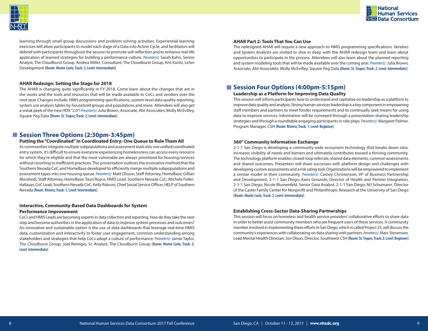



learning through small group discussions and problem-solving activities. Experiential learning exercises will allow participants to model each stage of a Data into Action Cycle, and facilitators will debrief with participants throughout the session to promote self-reflection and to enhance real-life application of learned strategies for building a performance culture. *Presenter(s):* Sarah Kahn, Senior Analyst, The Cloudburst Group; Andrea Miller, Consultant, The Cloudburst Group; Kris Kuntz, LeSer Development **[Room: Monte Carlo; Track: 2; Level: Intermediate]**

#### **AHAR Redesign: Setting the Stage for 2018**

The AHAR is changing quite significantly in FY 2018. Come learn about the changes that are in the works and the tools and resources that will be made available to CoCs and vendors over the next year. Changes include: HMIS programming specifications, system-level data quality reporting, system use analysis tables by household groups and populations and more. Attendees will also get a sneak peek of the new HDX "2.0"! *Presenter(s):*Julia Brown, Associate, Abt Associates; Molly McEvilley, Square Peg Data **[Room: St. Tropez; Track: 2; Level: Intermediate]**

### **Session Three Options (2:30pm-3:45pm)**

#### **Putting the "Coordinated" in Coordinated Entry: One Queue to Rule Them All**

As communities integrate multiple subpopulations and assessment tools into one unified coordinated entry system, it's difficult to ensure everyone experiencing homelessness can access every resource for which they're eligible and that the most vulnerable are always prioritized for housing/services without resorting to inefficient practices. This presentation outlines the innovative method that the Southern Nevada CoC and HomeBase developed to efficiently merge multiple subpopulations and assessment types into one housing queue. *Presenter(s):* Matt Olsson, Staff Attorney, HomeBase; Gillian Morshedi, Staff Attorney, HomeBase; Tauri Royce, HMIS Lead, Southern Nevada CoC; Michele Fuller-Hallauer, CoC Lead, Southern Nevada CoC; Kelly Robson, Chief Social Service Officer, HELP of Southern Nevada **[Room: Riviera; Track: 1; Level: Intermediate]**

#### **Interactive, Community-Based Data Dashboards for System Performance Improvement**

CoCs and HMIS Leads are becoming experts in data collection and reporting. How do they take the next step and become authorities in the application of data to improve system processes and outcomes? An innovative and sustainable option is the use of data dashboards that leverage real-time HMIS data, customization and interactivity to foster user engagement, common understanding among stakeholders and strategies that help CoCs adopt a culture of performance. *Presenter(s):* Jamie Taylor, The Cloudburst Group; Joel Remigio, Sr. Analyst, The Cloudburst Group **[Room: Monte Carlo; Track: 2; Level: Intermediate]**

#### **AHAR Part 2: Tools That You Can Use**

The redesigned AHAR will require a new approach to HMIS programming specifications. Vendors and System Analysts are invited to dive in deep with the AHAR redesign team and learn about opportunities to participate in the process. Attendees will also learn about the planned reporting and system modeling tools that will be made available over the coming year. *Presenter(s):*Julia Brown, Associate, Abt Associates; Molly McEvilley, Square Peg Data **[Room: St. Tropez; Track: 2; Level: Intermediate]**

# **Session Four Options (4:00pm-5:15pm)**

#### **Leadership as a Platform for Improving Data Quality**

This session will inform participants how to understand and capitalize on leadership as a platform to improve data quality and analysis. Strong human services leadership is a key component in empowering staff members and partners to meet funder requirements and to continually seek means for using data to improve services. Information will be conveyed through a presentation sharing leadership strategies and through a roundtable engaging participants in role plays. *Presenter(s):* Margaret Palmer, Program Manager, CSH **[Room: Riviera; Track: 1; Level: Beginner]**

#### **360° Community Information Exchange**

2-1-1 San Diego is developing a community-wide ecosystem technology that breaks down silos, increases visibility of needs and barriers and ultimately contributes toward a thriving community. The technology platform enables closed-loop referrals, shared data elements, common assessments and shared outcomes. Presenters will share successes with platform design and challenges with developing custom assessments and a risk rating tool. Organizations will be empowered to implement a similar model in their community. *Presenter(s):* Camey Christenson, VP of Business Partnership and Development, 2-1-1 San Diego; Karis Grounds, Director of Health and Partner Integration, 2-1-1 San Diego; Nicole Blumenfeld, Senior Data Analyst, 2-1-1 San Diego; MJ Schumann, Director of the Caster Family Center for Nonprofit and Philanthropic Research at the University of San Diego **[Room: Monte Carlo; Track: 2; Level: Intermediate]**

#### **Establishing Cross-Sector Data-Sharing Partnerships**

This session will focus on homeless and health service providers' collaborative efforts to share data in order to better assist community members who are frequent users of these services. A community member involved in implementing these efforts in San Diego, which is called Project 25, will discuss the community's experiences with collaborating on data sharing with partners. *Presenter(s):* Marc Stevenson, Lead Mental Health Clinician; Jon Olson, Director, Southwest CSH **[Room: St. Tropez; Track: 2; Level: Beginner]**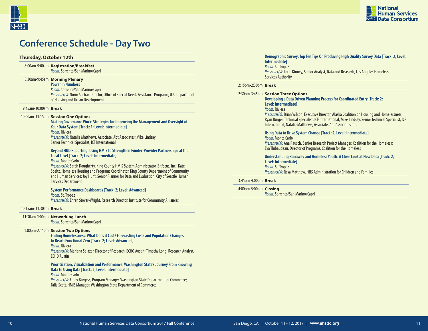



# **Conference Schedule - Day Two**

#### **Thursday, October 12th**

#### 8:00am-9:00am **Registration/Breakfast** *Room:*Sorrento/San Marino/Capri

#### 8:30am-9:45am **Morning Plenary**

**Power in Numbers** *Room:* Sorrento/San Marino/Capri *Presenter(s):* Norm Suchar, Director, Office of Special Needs Assistance Programs, U.S. Department of Housing and Urban Development

#### 9:45am-10:00am **Break**

#### 10:00am-11:15am **Session One Options**

**Making Governance Work: Strategies for Improving the Management and Oversight of Your Data System [Track: 1; Level: Intermediate]** *Room:* Riviera *Presenter(s):* Natalie Matthews, Associate, Abt Associates; Mike Lindsay, Senior Technical Specialist, ICF International

#### **Beyond HUD Reporting: Using HMIS to Strengthen Funder-Provider Partnerships at the Local Level [Track: 2; Level: Intermediate]**

*Room:* Monte Carlo

*Presenter(s):* Sarah Dougherty, King County HMIS System Administrator, Bitfocus, Inc.; Kate Speltz, Homeless Housing and Programs Coordinator, King County Department of Community and Human Services; Joy Hunt, Senior Planner for Data and Evaluation, City of Seattle Human Services Department

#### **System Performance Dashboards [Track: 2; Level: Advanced]**

*Room:* St. Tropez *Presenter(s):* Ehren Stover-Wright, Research Director, Institute for Community Alliances

#### 10:15am-11:30am **Break**

*Room:* Sorrento/San Marino/Capri

#### 1:00pm-2:15pm **Session Two Options**

**Ending Homelessness: What Does it Cost? Forecasting Costs and Population Changes to Reach Functional Zero [Track: 2; Level: Advanced ]** *Room:* Riviera

*Presenter(s):* Mariana Salazar, Director of Research, ECHO Austin; Timothy Long, Research Analyst, ECHO Austin

#### **Prioritization, Visualization and Performance: Washington State's Journey From Knowing Data to Using Data [Track: 2; Level: Intermediate]**

#### *Room:* Monte Carlo

*Presenter(s):* Emily Burgess, Program Manager, Washington State Department of Commerce; Talia Scott, HMIS Manager, Washington State Department of Commerce

#### **Demographic Survey: Top Ten Tips On Producing High Quality Survey Data [Track: 2; Level: Intermediate]** *Room:* St. Tropez *Presenter(s):* Lorin Kinney, Senior Analyst, Data and Research, Los Angeles Homeless

#### 2:15pm-2:30pm **Break**

Services Authority

| 2:30pm-3:45pm Session Three Options<br>Developing a Data Driven Planning Process for Coordinated Entry [Track: 2;<br>Level: Intermediatel<br>Room: Riviera<br>Presenter(s): Brian Wilson, Executive Director, Alaska Coalition on Housing and Homelessness;<br>Ryan Burger, Technical Specialist, ICF International; Mike Lindsay, Senior Technical Specialist, ICF<br>International: Natalie Matthews, Associate, Abt Associates Inc. |
|----------------------------------------------------------------------------------------------------------------------------------------------------------------------------------------------------------------------------------------------------------------------------------------------------------------------------------------------------------------------------------------------------------------------------------------|
| Using Data to Drive System Change [Track: 2; Level: Intermediate]<br><i>Room:</i> Monte Carlo<br><i>Presenter(s):</i> Ana Rausch, Senior Research Project Manager, Coalition for the Homeless;<br>Eva Thibaudeau, Director of Programs, Coalition for the Homeless                                                                                                                                                                     |
| Understanding Runaway and Homeless Youth: A Close Look at New Data [Track: 2;<br>Level: Intermediatel<br>Room: St. Tropez<br><i>Presenter(s):</i> Resa Matthew, HHS Administration for Children and Families                                                                                                                                                                                                                           |
|                                                                                                                                                                                                                                                                                                                                                                                                                                        |

#### 3:45pm-4:00pm **Break**

#### 4:00pm-5:00pm **Closing**

*Room:* Sorrento/San Marino/Capri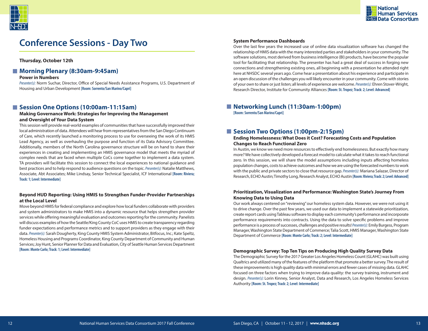

# **Conference Sessions - Day Two**

**Thursday, October 12th**

# ■ Morning Plenary (8:30am-9:45am)

#### **Power in Numbers**

*Presenter(s):* Norm Suchar, Director, Office of Special Needs Assistance Programs, U.S. Department of Housing and Urban Development **[Room: Sorrento/San Marino/Capri]**

### **Session One Options (10:00am-11:15am)**

#### **Making Governance Work: Strategies for Improving the Management and Oversight of Your Data System**

This session will provide real-world examples of communities that have successfully improved their local administration of data. Attendees will hear from representatives from the San Diego Continuum of Care, which recently launched a monitoring process to use for overseeing the work of its HMIS Lead Agency, as well as overhauling the purpose and function of its Data Advisory Committee. Additionally, members of the North Carolina governance structure will be on hand to share their experiences in creating and implementing an HMIS governance model that meets the myriad of complex needs that are faced when multiple CoCs come together to implement a data system. TA providers will facilitate this session to connect the local experiences to national guidance and best practices and to help respond to audience questions on the topic. *Presenter(s):* Natalie Matthews, Associate, Abt Associates; Mike Lindsay, Senior Technical Specialist, ICF International **[Room: Riviera; Track: 1; Level: Intermediate]**

#### **Beyond HUD Reporting: Using HMIS to Strengthen Funder-Provider Partnerships at the Local Level**

Move beyond HMIS for federal compliance and explore how local funders collaborate with providers and system administrators to make HMIS into a dynamic resource that helps strengthen provider services while offering meaningful evaluation and outcomes reporting for the community. Panelists will discuss examples of how the Seattle/King County CoC uses HMIS to create transparency regarding funder expectations and performance metrics and to support providers as they engage with their data. *Presenter(s):* Sarah Dougherty, King County HMIS System Administrator, Bitfocus, Inc.; Kate Speltz, Homeless Housing and Programs Coordinator, King County Department of Community and Human Services; Joy Hunt, Senior Planner for Data and Evaluation, City of Seattle Human Services Department **[Room: Monte Carlo; Track: 1; Level: Intermediate]**

#### **System Performance Dashboards**

Over the last few years the increased use of online data visualization software has changed the relationship of HMIS data with the many interested parties and stakeholders in your community. The software solutions, most derived from business intelligence (BI) products, have become the popular tool for facilitating that relationship. The presenter has had a great deal of success in forging new connections and strengthening existing ones, all beginning with a presentation he attended right here at NHSDC several years ago. Come hear a presentation about his experience and participate in an open discussion of the challenges you will likely encounter in your community. Come with stories of your own to share or just listen; all levels of experience are welcome. *Presenter(s):* Ehren Stover-Wright, Research Director, Institute for Community Alliances **[Room: St. Tropez; Track: 2; Level: Advanced]**

■ Networking Lunch (11:30am-1:00pm) **[Room: Sorrento/San Marino/Capri]**

## **Session Two Options (1:00pm-2:15pm)**

#### **Ending Homelessness: What Does it Cost? Forecasting Costs and Population Changes to Reach Functional Zero**

In Austin, we know we need more resources to effectively end homelessness. But exactly how many more? We have collectively developed a forecast model to calculate what it takes to reach functional zero. In this session, we will share the model assumptions including inputs affecting homeless population changes, costs to achieve outcomes and how we are using the forecasted numbers to work with the public and private sectors to close that resource gap. *Presenter(s):* Mariana Salazar, Director of Research, ECHO Austin; Timothy Long, Research Analyst, ECHO Austin **[Room: Riviera; Track: 2; Level: Advanced]**

#### **Prioritization, Visualization and Performance: Washington State's Journey From Knowing Data to Using Data**

Our work always centered on "reviewing" our homeless system data. However, we were not using it to drive change. Over the past few years, we used our data to implement a statewide prioritization, create report cards using Tableau software to display each community's performance and incorporate performance requirements into contracts. Using the data to solve specific problems and improve performance is a process of successes, challenges and positive results! *Presenter(s):* Emily Burgess, Program Manager, Washington State Department of Commerce; Talia Scott, HMIS Manager, Washington State Department of Commerce **[Room: Monte Carlo; Track: 2; Level: Intermediate]**

#### **Demographic Survey: Top Ten Tips on Producing High Quality Survey Data**

The Demographic Survey for the 2017 Greater Los Angeles Homeless Count (GLAHC) was built using Qualtrics and utilized many of the features of the platform that promote a better survey. The result of these improvements is high quality data with minimal errors and fewer cases of missing data. GLAHC focused on three factors when trying to improve data quality: the survey training, instrument and design. *Presenter(s):* Lorin Kinney, Senior Analyst, Data and Research, Los Angeles Homeless Services Authority **[Room: St. Tropez; Track: 2; Level: Intermediate]**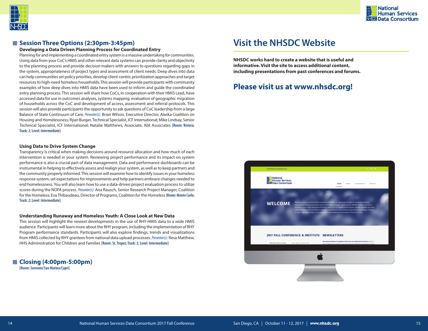



### **Session Three Options (2:30pm-3:45pm)**

#### **Developing a Data Driven Planning Process for Coordinated Entry**

Planning for and implementing a coordinated entry system is a massive undertaking for communities. Using data from your CoC's HMIS and other relevant data systems can provide clarity and objectivity to the planning process and provide decision makers with answers to questions regarding gaps in the system, appropriateness of project types and assessment of client needs. Deep dives into data can help communities set policy priorities, develop client-centric prioritization approaches and target resources to high-need homeless households. This session will provide participants with community examples of how deep dives into HMIS data have been used to inform and guide the coordinated entry planning process. This session will share how CoCs, in cooperation with their HMIS Lead, have accessed data for use in outcomes analyses, systems mapping, evaluation of geographic migration of households across the CoC and development of access, assessment and referral protocols. This session will also provide participants the opportunity to ask questions of CoC leadership from a large Balance of State Continuum of Care. *Presenter(s):* Brian Wilson, Executive Director, Alaska Coalition on Housing and Homelessness; Ryan Burger, Technical Specialist, ICF International; Mike Lindsay, Senior Technical Specialist, ICF International; Natalie Matthews, Associate, Abt Associates **[Room: Riviera; Track: 2; Level: Intermediate]**

#### **Using Data to Drive System Change**

Transparency is critical when making decisions around resource allocation and how much of each intervention is needed in your system. Reviewing project performance and its impact on system performance is also a crucial part of data management. Data and performance dashboards can be instrumental in helping to effectively assess and realign your system, as well as to keep partners and the community properly informed. This session will examine how to identify issues in your homeless response system, set expectations for improvements and help partners embrace changes needed to end homelessness. You will also learn how to use a data-driven project evaluation process to utilize scores during the NOFA process. *Presenter(s):* Ana Rausch, Senior Research Project Manager, Coalition for the Homeless; Eva Thibaudeau, Director of Programs, Coalition for the Homeless **[Room: Monte Carlo; Track: 2; Level: Intermediate]**

#### **Understanding Runaway and Homeless Youth: A Close Look at New Data**

This session will highlight the newest developments in the use of RHY-HMIS data to a wide HMIS audience. Participants will learn more about the RHY program, including the implementation of RHY Program performance standards. Participants will also explore findings, trends and visualizations from HMIS collected by RHY grantees from national data upload processes. *Presenter(s):* Resa Matthew, HHS Administration for Children and Families **[Room: St. Tropez; Track: 2; Level: Intermediate]**

#### **Closing (4:00pm-5:00pm) [Room: Sorrento/San Marino/Capri]**

# **Visit the NHSDC Website**

**NHSDC works hard to create a website that is useful and informative. Visit the site to access additional content, including presentations from past conferences and forums.** 

# **Please visit us at www.nhsdc.org!**